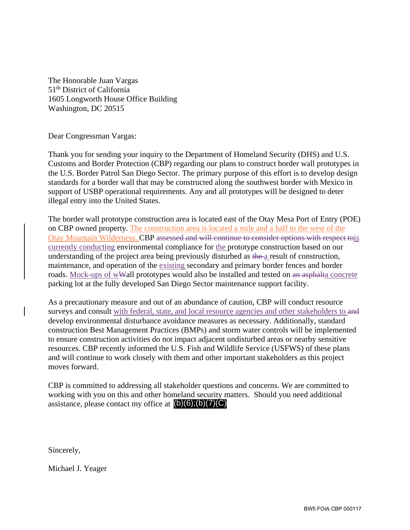The Honorable Juan Vargas 51th District of California 1605 Longworth House Office Building Washington, DC 20515

Dear Congressman Vargas:

Thank you for sending your inquiry to the Department of Homeland Security (DHS) and U.S. Customs and Border Protection (CBP) regarding our plans to construct border wall prototypes in the U.S. Border Patrol San Diego Sector. The primary purpose of this effort is to develop design standards for a border wall that may be constructed along the southwest border with Mexico in support of USBP operational requirements. Any and all prototypes will be designed to deter illegal entry into the United States.

The border wall prototype construction area is located east of the Otay Mesa Port of Entry (POE) on CBP owned property. The construction area is located a mile and a half to the west of the Otay Mountain Wilderness. CBP assessed and will continue to consider options with respect tois currently conducting environmental compliance for the prototype construction based on our understanding of the project area being previously disturbed as the a result of construction, maintenance, and operation of the existing secondary and primary border fences and border roads. Mock-ups of wWall prototypes would also be installed and tested on an asphalta concrete parking lot at the fully developed San Diego Sector maintenance support facility.

As a precautionary measure and out of an abundance of caution, CBP will conduct resource surveys and consult with federal, state, and local resource agencies and other stakeholders to and develop environmental disturbance avoidance measures as necessary. Additionally, standard construction Best Management Practices (BMPs) and storm water controls will be implemented to ensure construction activities do not impact adjacent undisturbed areas or nearby sensitive resources. CBP recently informed the U.S. Fish and Wildlife Service (USFWS) of these plans and will continue to work closely with them and other important stakeholders as this project moves forward.

CBP is committed to addressing all stakeholder questions and concerns. We are committed to working with you on this and other homeland security matters. Should you need additional assistance, please contact my office at  $(b)(6)(b)(7)(C)$ 

Sincerely,

Michael J. Yeager